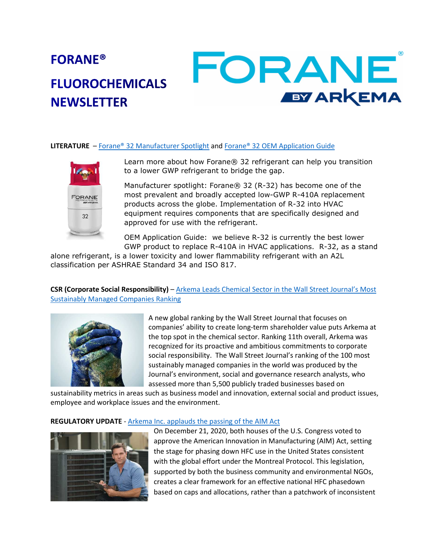# FORANE **FORANE® FLUOROCHEMICALS EY ARKEMA NEWSLETTER**

### **LITERATURE** – Forane® 32 Manufacturer Spotlight and Forane® 32 OEM Application Guide



Learn more about how Forane® 32 refrigerant can help you transition to a lower GWP refrigerant to bridge the gap.

Manufacturer spotlight: Forane® 32 (R-32) has become one of the most prevalent and broadly accepted low-GWP R-410A replacement products across the globe. Implementation of R-32 into HVAC equipment requires components that are specifically designed and approved for use with the refrigerant.

OEM Application Guide: we believe R-32 is currently the best lower GWP product to replace R-410A in HVAC applications. R-32, as a stand

alone refrigerant, is a lower toxicity and lower flammability refrigerant with an A2L classification per ASHRAE Standard 34 and ISO 817.

## **CSR (Corporate Social Responsibility)** – Arkema Leads Chemical Sector in the Wall Street Journal's Most Sustainably Managed Companies Ranking



A new global ranking by the Wall Street Journal that focuses on companies' ability to create long-term shareholder value puts Arkema at the top spot in the chemical sector. Ranking 11th overall, Arkema was recognized for its proactive and ambitious commitments to corporate social responsibility. The Wall Street Journal's ranking of the 100 most sustainably managed companies in the world was produced by the Journal's environment, social and governance research analysts, who assessed more than 5,500 publicly traded businesses based on

sustainability metrics in areas such as business model and innovation, external social and product issues, employee and workplace issues and the environment.

### **REGULATORY UPDATE** - Arkema Inc. applauds the passing of the AIM Act



On December 21, 2020, both houses of the U.S. Congress voted to approve the American Innovation in Manufacturing (AIM) Act, setting the stage for phasing down HFC use in the United States consistent with the global effort under the Montreal Protocol. This legislation, supported by both the business community and environmental NGOs, creates a clear framework for an effective national HFC phasedown based on caps and allocations, rather than a patchwork of inconsistent